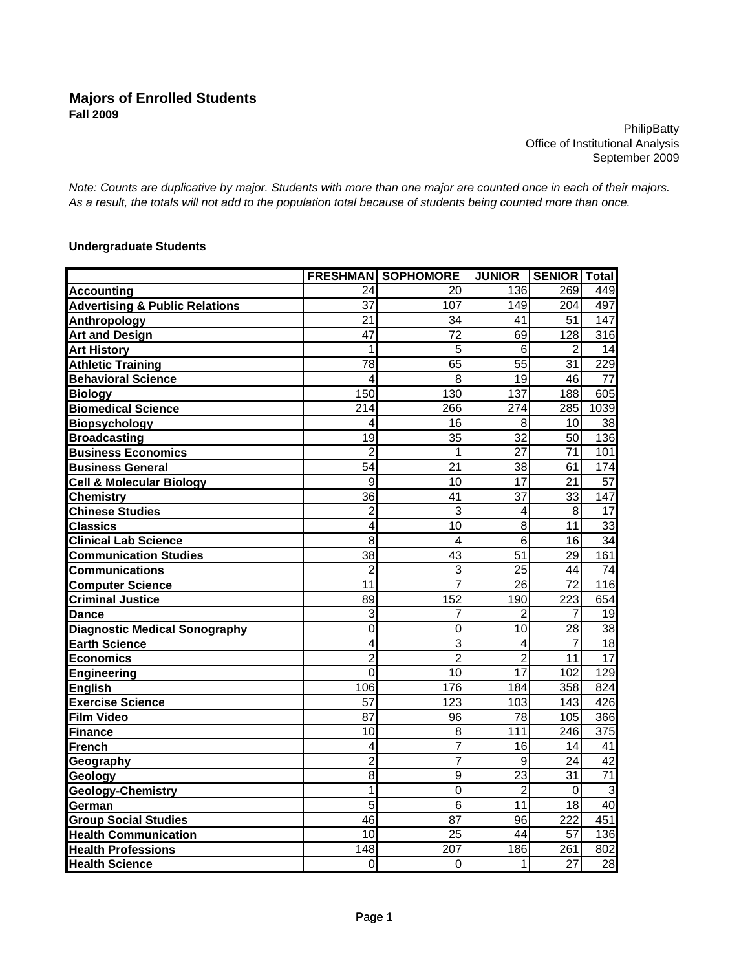**PhilipBatty** Office of Institutional Analysis September 2009

*Note: Counts are duplicative by major. Students with more than one major are counted once in each of their majors. As a result, the totals will not add to the population total because of students being counted more than once.*

## **Undergraduate Students**

|                                           |                | <b>FRESHMAN SOPHOMORE</b> | <b>JUNIOR</b>   | <b>SENIOR</b> Total |                  |
|-------------------------------------------|----------------|---------------------------|-----------------|---------------------|------------------|
| <b>Accounting</b>                         | 24             | 20                        | 136             | 269                 | 449              |
| <b>Advertising &amp; Public Relations</b> | 37             | 107                       | 149             | 204                 | 497              |
| Anthropology                              | 21             | 34                        | 41              | 51                  | 147              |
| <b>Art and Design</b>                     | 47             | 72                        | 69              | 128                 | $\overline{316}$ |
| <b>Art History</b>                        | 1              | 5                         | 6               | 2                   | 14               |
| <b>Athletic Training</b>                  | 78             | 65                        | $\overline{55}$ | 31                  | 229              |
| <b>Behavioral Science</b>                 | 4              | 8                         | 19              | 46                  | 77               |
| <b>Biology</b>                            | 150            | 130                       | 137             | 188                 | 605              |
| <b>Biomedical Science</b>                 | 214            | 266                       | 274             | 285                 | 1039             |
| <b>Biopsychology</b>                      | 4              | 16                        | 8               | 10                  | 38               |
| <b>Broadcasting</b>                       | 19             | $\overline{35}$           | $\overline{32}$ | 50                  | 136              |
| <b>Business Economics</b>                 | $\overline{2}$ | 1                         | $\overline{27}$ | $\overline{71}$     | 101              |
| <b>Business General</b>                   | 54             | 21                        | 38              | 61                  | 174              |
| <b>Cell &amp; Molecular Biology</b>       | 9              | 10                        | 17              | 21                  | 57               |
| <b>Chemistry</b>                          | 36             | 41                        | 37              | 33                  | 147              |
| <b>Chinese Studies</b>                    | $\overline{2}$ | 3                         | 4               | 8                   | 17               |
| <b>Classics</b>                           | 4              | 10                        | 8               | 11                  | 33               |
| <b>Clinical Lab Science</b>               | 8              | 4                         | $\overline{6}$  | 16                  | 34               |
| <b>Communication Studies</b>              | 38             | 43                        | 51              | 29                  | 161              |
| <b>Communications</b>                     | $\overline{2}$ | 3                         | 25              | 44                  | 74               |
| <b>Computer Science</b>                   | 11             | $\overline{7}$            | 26              | 72                  | 116              |
| <b>Criminal Justice</b>                   | 89             | 152                       | 190             | 223                 | 654              |
| Dance                                     | 3              | 7                         | 2               | 7                   | 19               |
| <b>Diagnostic Medical Sonography</b>      | 0              | $\overline{0}$            | 10              | 28                  | 38               |
| <b>Earth Science</b>                      | 4              | $\overline{3}$            | 4               | 7                   | 18               |
| <b>Economics</b>                          | $\overline{2}$ | $\overline{2}$            | $\overline{2}$  | 11                  | $\overline{17}$  |
| Engineering                               | $\overline{0}$ | 10                        | 17              | 102                 | 129              |
| <b>English</b>                            | 106            | 176                       | 184             | 358                 | 824              |
| Exercise Science                          | 57             | 123                       | 103             | 143                 | 426              |
| Film Video                                | 87             | 96                        | 78              | 105                 | 366              |
| Finance                                   | 10             | 8                         | 111             | 246                 | 375              |
| French                                    | 4              | $\overline{7}$            | 16              | 14                  | 41               |
| Geography                                 | $\overline{2}$ | $\overline{7}$            | 9               | 24                  | $\overline{42}$  |
| Geology                                   | 8              | $\overline{9}$            | $\overline{23}$ | 31                  | $\overline{71}$  |
| <b>Geology-Chemistry</b>                  | 1              | $\mathbf 0$               | $\overline{2}$  | $\mathbf 0$         | $\overline{3}$   |
| German                                    | 5              | 6                         | 11              | 18                  | $\overline{40}$  |
| <b>Group Social Studies</b>               | 46             | 87                        | 96              | 222                 | 451              |
| <b>Health Communication</b>               | 10             | $\overline{25}$           | 44              | 57                  | 136              |
| <b>Health Professions</b>                 | 148            | 207                       | 186             | 261                 | 802              |
| <b>Health Science</b>                     | 0              | $\mathbf 0$               | 1               | 27                  | $\overline{28}$  |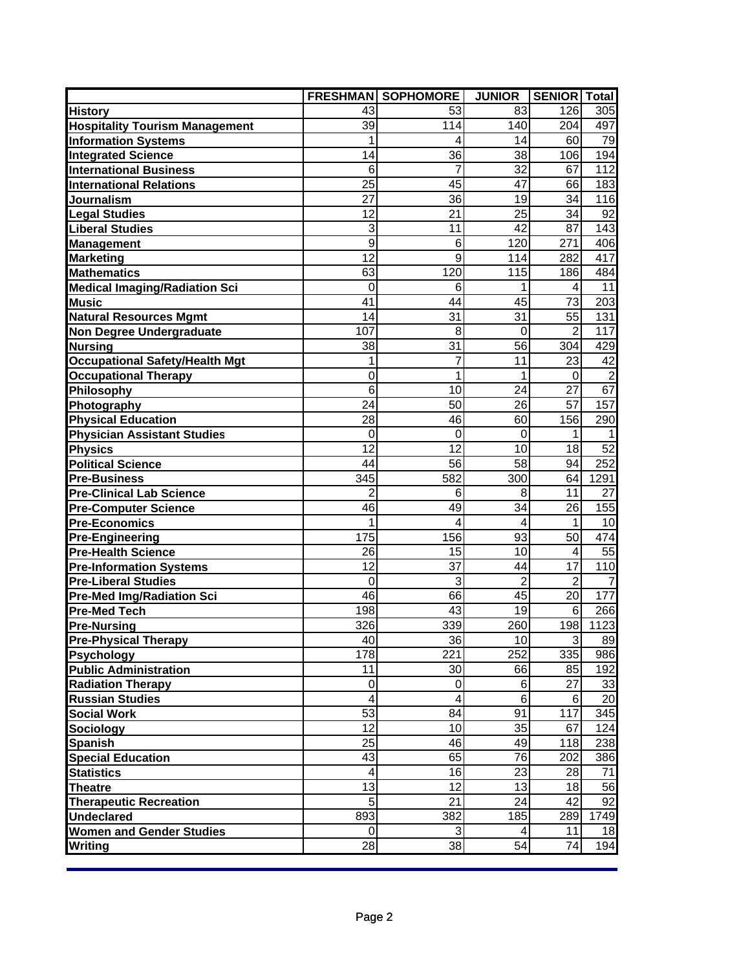|                                       |                         | <b>FRESHMAN SOPHOMORE</b> | <b>JUNIOR</b>  | <b>SENIOR Total</b> |                |
|---------------------------------------|-------------------------|---------------------------|----------------|---------------------|----------------|
| <b>History</b>                        | 43                      | 53                        | 83             | 126                 | 305            |
| <b>Hospitality Tourism Management</b> | 39                      | 114                       | 140            | 204                 | 497            |
| <b>Information Systems</b>            | 1                       | 4                         | 14             | 60                  | 79             |
| <b>Integrated Science</b>             | 14                      | 36                        | 38             | 106                 | 194            |
| <b>International Business</b>         | 6                       | 7                         | 32             | 67                  | 112            |
| <b>International Relations</b>        | 25                      | 45                        | 47             | 66                  | 183            |
| Journalism                            | 27                      | 36                        | 19             | 34                  | 116            |
| <b>Legal Studies</b>                  | 12                      | 21                        | 25             | 34                  | 92             |
| <b>Liberal Studies</b>                | 3                       | 11                        | 42             | 87                  | 143            |
| <b>Management</b>                     | 9                       | 6                         | 120            | 271                 | 406            |
| <b>Marketing</b>                      | 12                      | 9                         | 114            | 282                 | 417            |
| <b>Mathematics</b>                    | 63                      | 120                       | 115            | 186                 | 484            |
| <b>Medical Imaging/Radiation Sci</b>  | $\Omega$                | 6                         |                | 4                   | 11             |
| <b>Music</b>                          | 41                      | 44                        | 45             | 73                  | 203            |
| <b>Natural Resources Mgmt</b>         | 14                      | 31                        | 31             | 55                  | 131            |
| <b>Non Degree Undergraduate</b>       | 107                     | 8                         | 0              | $\overline{2}$      | 117            |
| <b>Nursing</b>                        | 38                      | 31                        | 56             | 304                 | 429            |
| Occupational Safety/Health Mgt        | 1                       | 7                         | 11             | 23                  | 42             |
| <b>Occupational Therapy</b>           | $\mathbf 0$             | 1                         | 1              | 0                   | $\overline{2}$ |
| Philosophy                            | 6                       | 10                        | 24             | 27                  | 67             |
| Photography                           | 24                      | 50                        | 26             | 57                  | 157            |
| <b>Physical Education</b>             | 28                      | 46                        | 60             | 156                 | 290            |
| <b>Physician Assistant Studies</b>    | $\mathbf 0$             | 0                         | $\mathbf 0$    | 1                   | 1              |
| <b>Physics</b>                        | 12                      | 12                        | 10             | 18                  | 52             |
| <b>Political Science</b>              | 44                      | 56                        | 58             | 94                  | 252            |
| <b>Pre-Business</b>                   | 345                     | 582                       | 300            | 64                  | 1291           |
| <b>Pre-Clinical Lab Science</b>       | $\overline{2}$          | 6                         | 8              | 11                  | 27             |
| <b>Pre-Computer Science</b>           | 46                      | 49                        | 34             | 26                  | 155            |
| <b>Pre-Economics</b>                  | 1                       | 4                         | 4              | 1                   | 10             |
| <b>Pre-Engineering</b>                | 175                     | 156                       | 93             | 50                  | 474            |
| <b>Pre-Health Science</b>             | 26                      | 15                        | 10             | 4                   | 55             |
| <b>Pre-Information Systems</b>        | 12                      | 37                        | 44             | 17                  | 110            |
| <b>Pre-Liberal Studies</b>            | $\mathbf 0$             | 3                         | $\overline{2}$ | $\overline{2}$      | $\overline{7}$ |
| <b>Pre-Med Img/Radiation Sci</b>      | 46                      | 66                        | 45             | 20                  | 177            |
| <b>Pre-Med Tech</b>                   | 198                     | 43                        | 19             | 6                   | 266            |
| <b>Pre-Nursing</b>                    | 326                     | 339                       | 260            | 198                 | 1123           |
| <b>Pre-Physical Therapy</b>           | 40                      | 361                       | 10             | 3                   | 89             |
| <b>Psychology</b>                     | 178                     | 221                       | 252            | 335                 | 986            |
| <b>Public Administration</b>          | 11                      | 30                        | 66             | 85                  | 192            |
| <b>Radiation Therapy</b>              | $\mathbf 0$             | 0                         | 6              | 27                  | 33             |
| <b>Russian Studies</b>                | $\overline{\mathbf{4}}$ | $\overline{\mathbf{4}}$   | 6              | 6                   | 20             |
| <b>Social Work</b>                    | 53                      | 84                        | 91             | 117                 | 345            |
| <b>Sociology</b>                      | 12                      | 10                        | 35             | 67                  | 124            |
| Spanish                               | 25                      | 46                        | 49             | 118                 | 238            |
| <b>Special Education</b>              | 43                      | 65                        | 76             | 202                 | 386            |
| <b>Statistics</b>                     | $\overline{\mathbf{4}}$ | 16                        | 23             | 28                  | 71             |
| <b>Theatre</b>                        | 13                      | 12                        | 13             | 18                  | 56             |
| <b>Therapeutic Recreation</b>         | 5                       | 21                        | 24             | 42                  | 92             |
| <b>Undeclared</b>                     | 893                     | 382                       | 185            | 289                 | 1749           |
| <b>Women and Gender Studies</b>       | $\mathbf 0$             | 3                         | 4              | 11                  | 18             |
| Writing                               | 28                      | 38                        | 54             | 74                  | 194            |